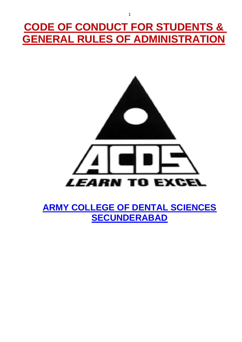# **CODE OF CONDUCT FOR STUDENTS & GENERAL RULES OF ADMINISTRATION**

1



**ARMY COLLEGE OF DENTAL SCIENCES SECUNDERABAD**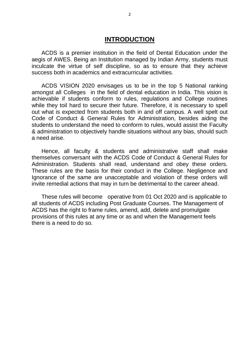# **INTRODUCTION**

ACDS is a premier institution in the field of Dental Education under the aegis of AWES. Being an Institution managed by Indian Army, students must inculcate the virtue of self discipline, so as to ensure that they achieve success both in academics and extracurricular activities.

ACDS VISION 2020 envisages us to be in the top 5 National ranking amongst all Colleges in the field of dental education in India. This vision is achievable if students conform to rules, regulations and College routines while they toil hard to secure their future. Therefore, it is necessary to spell out what is expected from students both in and off campus. A well spelt out Code of Conduct & General Rules for Administration, besides aiding the students to understand the need to conform to rules, would assist the Faculty & administration to objectively handle situations without any bias, should such a need arise.

Hence, all faculty & students and administrative staff shall make themselves conversant with the ACDS Code of Conduct & General Rules for Administration. Students shall read, understand and obey these orders. These rules are the basis for their conduct in the College. Negligence and Ignorance of the same are unacceptable and violation of these orders will invite remedial actions that may in turn be detrimental to the career ahead.

These rules will become operative from 01 Oct 2020 and is applicable to all students of ACDS including Post Graduate Courses. The Management of ACDS has the right to frame rules, amend, add, delete and promulgate provisions of this rules at any time or as and when the Management feels there is a need to do so.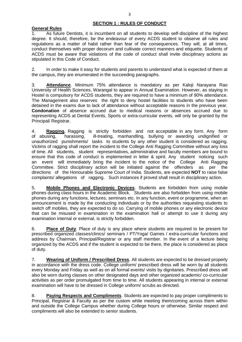# **SECTION 1 : RULES OF CONDUCT**

# **General Rules**

1. As future Dentists, it is incumbent on all students to develop self-discipline of the highest degree. It should, therefore, be the endeavour of every ACDS student to observe all rules and regulations as a matter of habit rather than fear of the consequences. They will, at all times, conduct themselves with proper decorum and cultivate correct manners and etiquette. Students of ACDS must be aware that violations of the code of conduct shall invite disciplinary actions as stipulated in this Code of Conduct.

2. In order to make it easy for students and parents to understand what is expected of them at the campus, they are enumerated in the succeeding paragraphs.

3. **Attendance**. Minimum 75% attendance is mandatory as per Kaloji Narayana Rao University of Health Sciences, Warangal to appear in Annual Examination. However, as staying in Hostel is compulsory for ACDS students, they are required to have a minimum of 90% attendance. The Management also reserves the right to deny hostel facilities to students who have been detained in the exams due to lack of attendance without acceptable reasons in the previous year. **Condonation** of absence accrued due to medical reasons or absences accrued due to representing ACDS at Dental Events, Sports or extra-curricular events, will only be granted by the Principal/ Registrar.

4. **Ragging.** Ragging is strictly forbidden and not acceptable in any form. Any form of abusing, harassing, ill-treating, manhandling, bullying or awarding undignified or unauthorized punishments/ tasks to students by any other student is considered as ragging. Victims of ragging shall report the incident to the College Anti Ragging Committee without any loss of time. All students, student representatives, administrative and faculty members are bound to ensure that this code of conduct is implemented in letter & spirit. Any student noticing such an event will immediately bring the incident to the notice of the College Anti Ragging Committee. Strict disciplinary action will be initiated against the offenders as per the directions of the Honourable Supreme Court of India. Students, are expected **NOT** to raise false complaints/ allegations of ragging. Such instances if proved shall result in disciplinary action.

5. **Mobile Phones and Electronic Devices**. Students are forbidden from using mobile phones during class hours in the Academic Block. Students are also forbidden from using mobile phones during any functions, lectures, seminars etc. In any function, event or programme, when an announcement is made by the conducting individuals or by the authorities requesting students to switch off mobiles, they are expected to do so. Carrying of mobile phones or any electronic device that can be misused in examination in the examination hall or attempt to use it during any examination internal or external, is strictly forbidden.

6. **Place of Duty**. Place of duty is any place where students are required to be present for prescribed organized classes/clinics/ seminars / PT/Yoga/ Games / extra-curricular functions and address by Chairman, Principal/Registrar or any staff member. In the event of a lecture being organized by the ACDS and if the student is expected to be there, the place is considered as place of duty.

7. **Wearing of Uniform / Prescribed Dress**. All students are expected to be dressed properly in accordance with the dress code. College uniform/ prescribed dress will be worn by all students every Monday and Friday as well as on all formal events/ visits by dignitaries. Prescribed dress will also be worn during classes on other designated days and other organized academic/ co-curricular activities as per order promulgated from time to time. All students appearing in internal or external examination will have to be dressed in College uniform/ scrubs as directed.

8. **Paying Respects and Compliments**. Students are expected to pay proper compliments to Principal, Registrar & Faculty as per the custom while meeting them/coming across them within and outside the College Campus whether during College hours or otherwise. Similar respect and compliments will also be extended to senior students.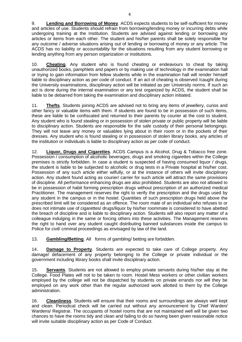9. **Lending and Borrowing of Money**. ACDS expects students to be self-sufficient for money and articles of use. Students should refrain from borrowing/lending money or incurring debts while undergoing training at the Institution. Students are advised against lending or borrowing any articles or items from each other. The student and his/her parents shall be solely responsible for any outcome / adverse situations arising out of lending or borrowing of money or any article. The ACDS has no liability or accountability for the situations resulting from any student borrowing or lending anything from any person organization or institutions.

10. **Cheating**. Any student who is found cheating or endeavours to cheat by taking unauthorized books, pamphlets and papers or by making use of technology in the examination hall or trying to gain information from fellow students while in the examination hall will render himself liable to disciplinary action as per code of conduct. If an act of cheating is observed /caught during the University examinations, disciplinary action will be initiated as per University norms. If such an act is done during the internal examination or any test organized by ACDS, the student shall be liable to be debarred from taking the examination and disciplinary action initiated.

11. **Thefts**. Students joining ACDS are advised not to bring any items of jewellery, curios and other fancy or valuable items with them. If students are found to be in possession of such items, these are liable to be confiscated and returned to their parents by courier at the cost to student. Any student who is found stealing or in possession of stolen private or public property will be liable to disciplinary action. Students are responsible for the safe custody of their personal belongings. They will not leave any money or valuables lying about in their room or in the pockets of their dresses. Any student who is found stealing or in possession of stolen library books, any articles of the institution or individuals is liable to disciplinary action as per code of conduct.

12. **Liquor, Drugs and Cigarettes**. ACDS Campus is a Alcohol, Drug & Tobacco free zone. Possession / consumption of alcoholic beverages, drugs and smoking cigarettes within the College premises is strictly forbidden. In case a student is suspected of having consumed liquor / drugs, the student is liable to be subjected to alcoholic or drug tests in a Private hospital at his/her cost. Possession of any such article either wilfully, or at the instance of others will invite disciplinary action. Any student found acting as courier/ carrier for such article will attract the same provisions of discipline. All performance enhancing drugs are also prohibited. Students are also not allowed to be in possession of habit forming prescription drugs without prescription of an authorized medical Practitioner. The management reserves the right to verify the prescription and the drugs used by any student in the campus or in the hostel. Quantities of such prescription drugs held above the prescribed limit will be considered as an offence. The room mate of an individual who refuses to or does not intimate use of cigarettes/ drugs/liquor by his/her roommate is considered to have abetted the breach of discipline and is liable to disciplinary action. Students will also report any matter of a colleague indulging in the same or forcing others into these activities. The Management reserves the right to hand over any student caught distributing banned substances inside the campus to Police for civil/ criminal proceedings as envisaged by law of the land.

13. **Gambling/Betting**. All forms of gambling/ betting are forbidden.

14. **Damage to Property**. Students are expected to take care of College property. Any damage/ defacement of any property belonging to the College or private individual or the government including library books shall invite disciplinary action.

15. **Servants**. Students are not allowed to employ private servants during his/her stay at the College. Food Plates will not to be taken to room. Hostel Mess workers or other civilian workers employed by the college will not be dispatched by students on private errands nor will they be employed on any work other than the regular authorized work allotted to them by the College administration.

16. **Cleanliness**. Students will ensure that their rooms and surroundings are always well kept and clean. Periodical check will be carried out without any announcement by Chief Warden/ Wardens/ Registrar. The occupants of hostel rooms that are not maintained well will be given two chances to have the rooms tidy and clean and failing to do so having been given reasonable notice will invite suitable disciplinary action as per Code of Conduct.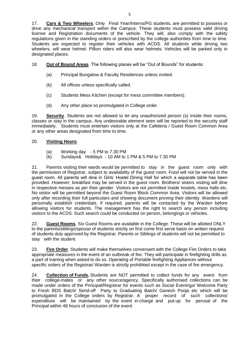17. **Cars & Two Wheelers**. Only Final Year/Interns/PG students, are permitted to possess or drive any mechanical transport within the Campus. These students must possess valid driving license and Registration documents of the vehicle. They will, also comply with the safety regulations given in the standing orders or prescribed by the college authorities from time to time. Students are expected to register their vehicles with ACDS. All students while driving two wheelers, will wear helmet. Pillion riders will also wear helmets. Vehicles will be parked only in designated places.

- 18. **Out of Bound Areas**. The following places will be "Out of Bounds" for students:
	- (a) Principal Bungalow & Faculty Residences unless invited.
	- (b) All offices unless specifically called.
	- (c) Students Mess Kitchen (except for mess committee members).
	- (d) Any other place so promulgated in College order.

19. **Security**. Students are not allowed to let any unauthorized person (s) inside their rooms, classes or stay in the campus. Any undesirable element seen will be reported to the security staff immediately. Students must entertain visitors only at the Cafeteria / Guest Room Common Area or any other areas designated from time to time.

#### 20. **Visiting Hours**.

- (a) Working day 5 PM to 7.30 PM
- (b) Sundays& Holidays 10 AM to 1 PM & 5 PM to 7.30 PM

21. Parents visiting their wards would be permitted to stay in the guest room only with the permission of Registrar, subject to availability of the guest room. Food will not be served in the guest room. All parents will dine in Girls' Hostel Dining Hall for which a separate table has been provided. However; breakfast may be served in the guest room. Brothers/ sisters visiting will dine in respective messes as per their gender. Visitors are not permitted inside hostels, mess halls etc. No visitor will be permitted beyond the Guest Room Block Common Area. Visitors will be allowed only after recording their full particulars and showing document proving their identity. Wardens will personally establish credentials. If required, parents will be contacted by the Warden before allowing visitors for students. The management has the right to search any person including visitors to the ACDS. Such search could be conducted on person, belongings or vehicles.

22. **Guest Rooms**. Six Guest Rooms are available in the College. These will be allotted ONLY to the parents/siblings/spouse of students strictly on first come first serve basis on written request of students duly approved by the Registrar. Parents or Siblings of students will not be permitted to stay with the student.

23. **Fire Order**. Students will make themselves conversant with the College Fire Orders to take appropriate measures in the event of an outbreak of fire. They will participate in firefighting drills as a part of training when asked to do so. Operating of Portable firefighting Appliances without specific orders of the Registrar/ Warden is strictly prohibited except in the case of fire emergency.

24. **Collection of Funds.** Students are NOT permitted to collect funds for any event from their college-mates or any other source/agency. Specifically authorised collections can be made under orders of the Principal/Registrar for events such as Social Evenings/ Welcome Party to Fresh BDS Batch/ Send-off Party to Graduating Batch/ Ganesh Pooja etc which will be promulgated in the College orders by Registrar. A proper record of such collections/ expenditure will be maintained by the event in-charge and put-up for perusal of the Principal within 48 hours of conclusion of the event.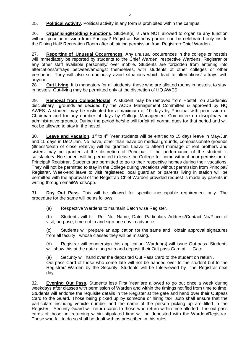25. **Political Activity**. Political activity in any form is prohibited within the campus.

26. **Organising/Holding Functions**. Student(s) is /are NOT allowed to organize any function without prior permission from Principal/ Registrar. Birthday parties can be celebrated only inside the Dining Hall/ Recreation Room after obtaining permission from Registrar/ Chief Warden.

27. **Reporting of Unusual Occurrences**. Any unusual occurrences in the college or hostels will immediately be reported by students to the Chief Warden, respective Wardens, Registrar or any other staff available personally/ over mobile. Students are forbidden from entering into altercations/affrays between/amongst themselves, with students of other colleges or other personnel. They will also scrupulously avoid situations which lead to altercations/ affrays with anyone.

28. **Out Living**. It is mandatory for all students, those who are allotted rooms in hostels, to stay in hostels. Out-living may be permitted only at the discretion of HQ AWES.

29. **Removal from College/Hostel**. A student may be removed from Hostel on academic/ disciplinary grounds as decided by the ACDS Management Committee & approved by HQ AWES. A student may be rusticated for a maximum of 10 days by Principal with permission of Chairman and for any number of days by College Management Committee on disciplinary or administrative grounds. During the period he/she will forfeit all normal dues for that period and will not be allowed to stay in the hostel.

30. Leave and Vacation. 1<sup>st</sup> to 4<sup>th</sup> Year students will be entitled to 15 days leave in May/Jun and 15 days in Dec/ Jan. No leave, other than leave on medical grounds, compassionate grounds (illness/death of close relative) will be granted. Leave to attend marriage of real brothers and sisters may be granted at the discretion of Principal, if the performance of the student is satisfactory. No student will be permitted to leave the College for home without prior permission of Principal/ Registrar. Students are permitted to go to their respective homes during their vacations. They will not be permitted to stay in the College during vacations without permission from Principal/ Registrar. Week-end leave to visit registered local guardian or parents living in station will be permitted with the approval of the Registrar/ Chief Warden provided request is made by parents in writing through email/WhatsApp.

31. **Day Out Pass**. This will be allowed for specific inescapable requirement only. The procedure for the same will be as follows:

(a) Respective Wardens to maintain Batch wise Register.

(b) Students will fill Roll No, Name, Date, Particulars Address/Contact No/Place of visit, purpose, time out-in and sign one day in advance.

(c) Students will prepare an application for the same and obtain approval signatures from all faculty whose classes they will be missing.

(d) Registrar will countersign this application. Warden(s) will issue Out-pass. Students will show this at the gate along with and deposit their Out pass Card at Gate.

(e) Security will hand over the deposited Out Pass Card to the student on return .

Out-pass Card of those who come late will not be handed over to the student but to the Registrar/ Warden by the Security. Students will be Interviewed by the Registrar next day.

32. **Evening Out Pass**. Students less First Year are allowed to go out once a week during weekdays after classes with permission of Warden and within the timings notified from time to time. Students will endorse the requisite details in the Register at the gate and hand over their Outpass Card to the Guard. Those being picked up by someone or hiring taxi, auto shall ensure that the particulars including vehicle number and the name of the person picking up are filled in the Register. Security Guard will return cards to those who return within time allotted. The out pass cards of those not returning within stipulated time will be deposited with the Warden/Registrar. Those who fail to do so shall be dealt with as prescribed in this rules.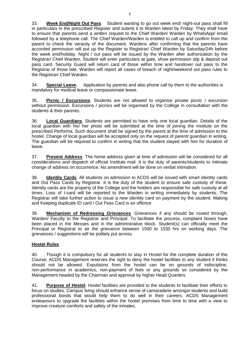33. **Week End/Night Out Pass**. Student wanting to go out week end/ night-out pass shall fill in particulars in the prescribed Register and submit it to Warden latest by Friday. They shall have to ensure that parents send a written request to the Chief Warden/ Warden by WhatsApp/ email followed by a telephone call. The Chief Warden/Warden is entitled to call up and confirm from the parent to check the veracity of the document. Wardens after confirming that the parents have accorded permission will put up the Register to Registrar/ Chief Warden by Saturday/24h before the week end/holiday. Night / out pass will be issued by the Warden after authorization by the Registrar/ Chief Warden. Student will enter particulars at gate, show permission slip & deposit out pass card. Security Guard will return card of those within time and handover out pass to the Registrar of those late. Warden will report all cases of breach of night/weekend out pass rules to the Registrar/ Chief Warden.

34. **Special Leave.** Application by parents and also phone call by them to the authorities is mandatory for medical leave or compassionate leave.

35. **Picnic / Excursions**. Students are not allowed to organize private picnic / excursion without permission. Excursions / picnics will be organised by the College in consultation with the students & their parents.

36. **Local Guardians**. Students are permitted to have only one local guardian. Details of the local guardian with his/ her photo will be submitted at the time of joining the Institute on the prescribed Performa. Such document shall be signed by the parent at the time of admission to the hostel. Change of local guardian will be accepted only on the request of parent/ guardian in writing. The guardian will be required to confirm in writing that the student stayed with him for duration of leave.

37. **Present Address**. The home address given at time of admission will be considered for all considerations and dispatch of official Institute mail. It is the duty of parents/students to intimate change of address on occurrence. No amendment will be done on verbal intimation.

38. **Identity Cards**. All students on admission to ACDS will be issued with smart identity cards and Out Pass Cards by Registrar. It is the duty of the student to ensure safe custody of these. Identity cards are the property of the College and the holders are responsible for safe custody at all times. Loss of I-card will be reported to the Warden in writing immediately by students. The Registrar will take further action to issue a new identity card on payment by the student. Making and Keeping duplicate ID card / Out Pass Card is an offence.

39. **Mechanism of Redressing Grievances**. Grievances if any should be routed through, Warden/ Faculty to the Registrar and Principal. To facilitate the process, complaint boxes have been placed in the Messes and in the administrative block. Student(s) can officially meet the Principal or Registrar to air the grievance between 1500 to 1530 hrs on working days. The grievances / suggestions will be politely put across.

# **Hostel Rules**.

40. Though it is compulsory for all students to stay in Hostel for the complete duration of the Course, ACDS Management reserves the right to deny the hostel facilities to any student it thinks should not be allowed. Expulsions from the hostel can be on grounds of indiscipline, non-performance in academics, non-payment of fees or any grounds so considered by the Management headed by the Chairman and approval by higher Head Quarters.

41. **Purpose of Hostel**. Hostel facilities are provided to the students to facilitate their efforts to focus on studies. Campus living should enhance sense of camaraderie amongst students and build professional bonds that would help them to do well in their careers. ACDS Management endeavours to upgrade the facilities within the hostel premises from time to time with a view to improve creature comforts and safety of the inmates.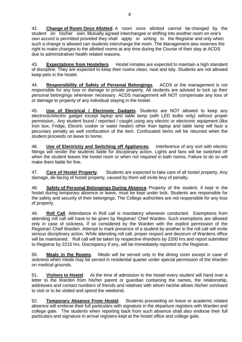42. **Change of Room Once Allotted**. A room once allotted cannot be changed by the student on his/her own. Mutually agreed interchanges or shifting into another room on one's own accord is permitted provided they shall apply in writing to the Registrar and only when such a change is allowed can students interchange the room. The Management also reserves the right to make changes to the allotted rooms at any time during the Course of their stay at ACDS due to administrative/ health related reasons.

43. **Expectations from Hostellers**. Hostel inmates are expected to maintain a high standard of discipline. They are expected to keep their rooms clean, neat and tidy. Students are not allowed keep pets in the hostel.

44. **Responsibility of Safety of Personal Belongings**. ACDS or the management is not responsible for any loss or damage to private property. All students are advised to lock up their personal belongings whenever necessary. ACDS management will NOT compensate any loss of or damage to property of any individual staying in the hostel.

45. **Use of Electrical / Electronic Gadgets**. Students are NOT allowed to keep any electronic/electric gadget except laptop and table lamp (with LED bulbs only) without proper permission.. Any student found / reported / caught using any electric or electronic equipment (like Iron box, Fridge, Electric cooker or water heater) other than laptop and table lamp will face a pecuniary penalty as well confiscation of the item. Confiscated items will be returned when the student proceeds on leave to home.

46. **Use of Electricity and Switching off Appliances**. Interference of any sort with electric fittings will render the students liable for disciplinary action. Lights and fans will be switched off when the student leaves the hostel room or when not required in bath rooms. Failure to do so will make them liable for fine.

47. **Care of Hostel Property**. Students are expected to take care of all hostel property. Any damage, de-facing of hostel property, caused by them will invite levy of penalty.

48. **Safety of Personal Belongings During Absence**. Property of the student, if kept in the hostel during temporary absence or leave, must be kept under lock. Students are responsible for the safety and security of their belongings. The College authorities are not responsible for any loss of property.

49. **Roll Call**. Attendance in Roll call is mandatory whenever conducted. Exemptions from attending roll call will have to be given by Registrar/ Chief Warden. Such exemptions are allowed only in case of sickness, if so considered by the Warden with the explicit permission of the Registrar/ Chief Warden. Attempt to mark presence of a student by another in the roll call will invite serious disciplinary action. While attending roll call, proper respect and decorum of Wardens office will be maintained. Roll call will be taken by respective Wardens by 2200 hrs and report submitted to Registrar by 2215 hrs. Discrepancy if any, will be immediately reported to the Registrar.

50. **Meals in the Rooms**. Meals will be served only in the dining room except in case of sickness when meals may be served in residential quarter under special permission of the Warden on medical grounds.

51. **Visitors to Hostel**. At the time of admission to the hostel every student will hand over a letter to the Warden from his/her parent or quardian containing the names, the relationship, addresses and contact numbers of friends and relatives with whom he/she allows his/her son/ward to visit or to be visited and spend the weekend.

52. **Temporary Absence From Hostel**. Students proceeding on leave or academic related absence will endorse their full particulars with signature in the departure registers with Warden and college gate. The students when reporting back from such absence shall also endorse their full particulars and signature in arrival registers kept at the hostel office and college gate.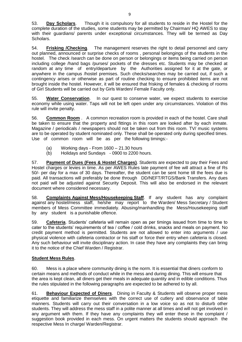53. **Day Scholars**. Though it is compulsory for all students to reside in the Hostel for the complete duration of the studies, some students may be permitted by Chairman/ HQ AWES to stay with their guardians/ parents under exceptional circumstances. They will be termed as Day Scholars.

54. **Frisking /Checking**. The management reserves the right to detail personnel and carry out planned, announced or surprise checks of rooms , personal belongings of the students in the hostel. The check /search can be done on person or belongings or items being carried on person including college /hand bags /purses/ pockets of the dresses etc. Students may be checked at random at any time of entry/departure by the Authorities assigned for it at the gate, or anywhere in the campus /hostel premises. Such checks/searches may be carried out, if such a contingency arises or otherwise as part of routine checking to ensure prohibited items are not brought inside the hostel. However, it will be ensured that frisking of females & checking of rooms of Girl Students will be carried out by Girls Warden/ Female Faculty only.

55. **Water Conservation**. In our quest to conserve water, we expect students to exercise economy while using water. Taps will not be left open under any circumstances. Violation of this rule will invite penalty.

56. **Common Room** . A common recreation room is provided in each of the hostel. Care shall be taken to ensure that the property and fittings in this room are looked after by each inmate. Magazine / periodicals / newspapers should not be taken out from this room. TV/ music systems are to be operated by student nominated only. These shall be operated only during specified times. Use of common room will be as per the following timings:-

- (a) Working days From 1600 21.30 hours
- (b) Holidays and Sundays 0900 to 2200 hours.

57. **Payment of Dues (Fees & Hostel Charges)**. Students are expected to pay their Fees and Hostel charges or levies in time. As per AWES Rules late payment of fee will attract a fine of Rs 50/- per day for a max of 30 days. Thereafter, the student can be sent home till the fees due is paid. All transactions will preferably be done through DD/NEFT/RTGS/Bank Transfers. Any dues not paid will be adjusted against Security Deposit. This will also be endorsed in the relevant document where considered necessary.

58. **Complaints Against Mess/Housekeeping Staff**. If any student has any complaint against any hostel/mess staff, he/she may report to the Warden/ Mess Secretary / Student members of Mess Committee immediately. Abusing/manhandling the Mess/Housekeeping staff by any student is a punishable offence.

59. **Cafeteria**. Students' cafeteria will remain open as per timings issued from time to time to cater to the students' requirements of tea / coffee / cold drinks, snacks and meals on payment. No credit payment method is permitted. Students are not allowed to enter into arguments / use physical violence with cafeteria contractor or his staff or force their entry when cafeteria is closed. Any such behaviour will invite disciplinary action. In case they have any complaints they can bring it to the notice of the Chief Warden / Registrar.

# **Student Mess Rules**.

60. Mess is a place where community dining is the norm. It is essential that diners conform to certain means and methods of conduct while in the mess and during dining. This will ensure that the area is kept clean, all diners get their meals in adequate quantity and in edible conditions. Thus the rules stipulated in the following paragraphs are expected to be adhered to by all.

61. **Behaviour Expected of Diners**. Dining in Faculty & Students will observe proper mess etiquette and familiarize themselves with the correct use of cutlery and observance of table manners. Students will carry out their conversation in a low voice so as not to disturb other students. They will address the mess staff in a polite manner at all times and will not get involved in any argument with them. If they have any complaints they will enter these in the complaint / suggestion book provided in each mess. On urgent matters the students should approach the respective Mess In charge/ Warden/Registrar.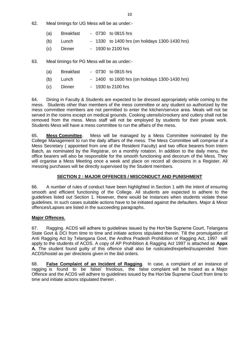- 62. Meal timings for UG Mess will be as under:-
	- (a) Breakfast 0730 to 0815 hrs (b) Lunch - 1330 to 1400 hrs (on holidays 1300-1430 hrs) (c) Dinner - 1930 to 2100 hrs

63. Meal timings for PG Mess will be as under:-

| (a) | Breakfast |                    | $-0730$ to 0815 hrs                            |
|-----|-----------|--------------------|------------------------------------------------|
| (b) | Lunch     |                    | - 1400 to 1600 hrs (on holidays 1300-1430 hrs) |
| (c) | Dinner    | - 1930 to 2100 hrs |                                                |

64. Dining in Faculty & Students are expected to be dressed appropriately while coming to the mess. Students other than members of the mess committee or any student so authorized by the mess committee members are not permitted to enter the kitchen/service area. Meals will not be served in the rooms except on medical grounds. Cooking utensils/crockery and cutlery shall not be removed from the mess. Mess staff will not be employed by students for their private work. Students Mess will have a mess committee to run the affairs of the mess.

65. **Mess Committee**. Mess will be managed by a Mess Committee nominated by the College Management to run the daily affairs of the mess. The Mess Committee will comprise of a Mess Secretary ( appointed from one of the Resident Faculty) and two office bearers from Intern Batch, as nominated by the Registrar, on a monthly rotation. In addition to the daily menu, the office bearers will also be responsible for the smooth functioning and decorum of the Mess. They will organise a Mess Meeting once a week and place on record all decisions in a Register. All messing purchases will be directly supervised by the Student members.

# **SECTION 2 : MAJOR OFFENCES / MISCONDUCT AND PUNISHMENT**

66. A number of rules of conduct have been highlighted in Section 1 with the intent of ensuring smooth and efficient functioning of the College. All students are expected to adhere to the guidelines listed out Section 1. However, there would be instances when students violate these guidelines. In such cases suitable actions have to be initiated against the defaulters. Major & Minor offences/Lapses are listed in the succeeding paragraphs.

#### **Major Offences**.

67. Ragging. ACDS will adhere to guidelines issued by the Hon'ble Supreme Court, Telangana State Govt & DCI from time to time and initiate actions stipulated therein. Till the promulgation of Anti Ragging Act by Telangana Govt, the Andhra Pradesh Prohibition of Ragging Act, 1997 will apply to the students of ACDS. A copy of AP Prohibition & Ragging Act 1997 is attached as **Appx A**. The student found guilty of this offence shall also be rusticated/expelled/suspended from ACDS/hostel as per directions given in the ibid orders.

68. **False Complaint of an Incident of Ragging**. In case, a complaint of an instance of ragging is found to be false/ frivolous, the false complaint will be treated as a Major Offence and the ACDS will adhere to guidelines issued by the Hon'ble Supreme Court from time to time and initiate actions stipulated therein .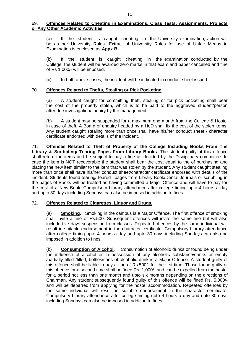#### 69. **Offences Related to Cheating in Examinations, Class Tests, Assignments, Projects or Any Other Academic Activities**

(a) If the student is caught cheating in the University examination, action will be as per University Rules. Extract of University Rules for use of Unfair Means in Examination is enclosed as **Appx B**.

(b) If the student is caught cheating in the examination conducted by the College, the student will be awarded zero marks in that exam and paper cancelled and fine of Rs 1,000/- will be imposed.

(c) In both above cases, the incident will be indicated in conduct sheet issued.

# 70. **Offences Related to Thefts, Stealing or Pick Pocketing**

(a) A student caught for committing theft, stealing or for pick pocketing shall bear the cost of the property stolen, which is to be paid to the aggrieved student/person after due investigation/ inquiry by the management.

(b) A student may be suspended for a maximum one month from the College & Hostel in case of theft. A Board of enquiry headed by a HoD shall fix the cost of the stolen items. Any student caught stealing more than once shall have his/her conduct sheet / character certificate endorsed with details of the incident.

71. **Offences Related to Theft of Property of the College Including Books From The Library & Scribbling/ Tearing Pages From Library Books**. The student guilty of this offence shall return the items and be subject to pay a fine as decided by the Disciplinary committee. In case the item is NOT recoverable the student shall bear the cost equal to the of purchasing and placing the new item similar to the item that was stolen by the student. Any student caught stealing more than once shall have his/her conduct sheet/character certificate endorsed with details of the incident. Students found tearing/ teared pages from Library Book/Dental Journals or scribbling in the pages of Books will be treated as having committed a Major Offence and will have to pay for the cost of a New Book. Compulsory Library attendance after college timing upto 4 hours a day and upto 30 days including Sundays can also be imposed in addition to fines.

#### 72. **Offences Related to Cigarettes, Liquor and Drugs.**

(a) **Smoking**. Smoking in the campus is a Major Offence. The first offence of smoking shall invite a fine of Rs.500. Subsequent offences will invite the same fine but will also include five days suspension from classes. Repeated offences by the same individual will result in suitable endorsement in the character certificate. Compulsory Library attendance after college timing upto 4 hours a day and upto 30 days including Sundays can also be imposed in addition to fines.

(b) **Consumption of Alcohol**. Consumption of alcoholic drinks or found being under the influence of alcohol or in possession of any alcoholic substance/drinks or empty /partially filled /filled, bottles/cans of alcoholic drink is a Major Offence. A student guilty of this offence shall be liable to pay a fine of Rs.500/- for the first time. Those found guilty of this offence for a second time shall be fined Rs. 1,000/- and can be expelled from the hostel for a period not less than one month and upto six months depending on the directions of Chairman. Any student subsequently found guilty of this offence will be fined Rs. 5,000/ and will be debarred from applying for the hostel accommodation. Repeated offences by the same individual will result in suitable endorsement in the character certificate. Compulsory Library attendance after college timing upto 4 hours a day and upto 30 days including Sundays can also be imposed in addition to fines.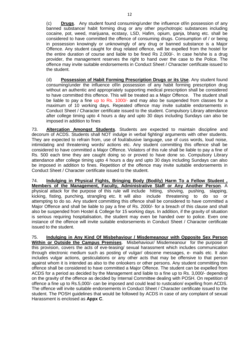(c) **Drugs**. Any student found consuming/under the influence of/in possession of any banned substance/ habit forming drug or any other psychotropic substances including cocaine, pot, weed, marijuana, ecstasy, LSD, Hafim, opium, ganja, bhang etc. shall be considered to have committed the offence of consuming drugs. Consumption of / or being in possession knowingly or unknowingly of any drug or banned substance is a Major Offence. Any student caught for drug related offence, will be expelled from the hostel for the entire duration of course and liable to be fined Rs 2,000/-. In case he/she is a drug provider, the management reserves the right to hand over the case to the Police. The offence may invite suitable endorsements in Conduct Sheet / Character certificate issued to the student.

(d) **Possession of Habit Forming Prescription Drugs or its Use**. Any student found consuming/under the influence of/in possession of any habit forming prescription drug without an authentic and appropriately supporting medical prescription shall be considered to have committed this offence. This will be treated as a Major Offence. The student shall be liable to pay a fine up to Rs. 1000/- and may also be suspended from classes for a maximum of 10 working days. Repeated offence may invite suitable endorsements in Conduct Sheet / Character certificate issued to the student. Compulsory Library attendance after college timing upto 4 hours a day and upto 30 days including Sundays can also be imposed in addition to fines

73. **Altercation Amongst Students**. Students are expected to maintain discipline and decorum of ACDS. Students shall NOT indulge in verbal fighting/ arguments with other students. They are expected to refrain from, use of foul/abusive language, use of cuss words, loud noise, intimidating and threatening words/ actions etc. Any student committing this offence shall be considered to have committed a Major Offence. Violators of this rule shall be liable to pay a fine of Rs. 500 each time they are caught doing so or proved to have done so. Compulsory Library attendance after college timing upto 4 hours a day and upto 30 days including Sundays can also be imposed in addition to fines. Repetition of the offence may invite suitable endorsements in Conduct Sheet / Character certificate issued to the student.

74. **Indulging in Physical Fights, Bringing Body (Bodily) Harm To a Fellow Student , Members of the Management, Faculty, Administrative Staff or Any Another Person**. A physical attack for the purpose of this rule will include hitting, shoving, pushing, slapping, kicking, fisting, punching, strangling etc. It will also include threatening to do so or attempting to do so. Any student committing this offence shall be considered to have committed a Major Offence and shall be liable to pay a fine of Rs. 2000/- for a breach of this clause and shall also be suspended from Hostel & College for 15 working days. In addition, if the gravity of situation is serious requiring hospitalisation, the student may even be handed over to police. Even one instance of the offence will invite suitable endorsements in Conduct Sheet / Character certificate issued to the student.

75. **Indulging in Any Kind Of Misbehaviour / Misdemeanour with Opposite Sex Person Within or Outside the Campus Premises**. Misbehaviour/ Misdemeanour for the purpose of this provision, covers the acts of eve-teasing/ sexual harassment which includes communication through electronic medium such as posting of vulgar/ obscene messages, e- mails etc. It also includes vulgar actions, gesticulations or any other acts that may be offensive to that person against whom it is intended as also to the onlookers or other persons. Any student committing this offence shall be considered to have committed a Major Offence. The student can be expelled from ACDS for a period as decided by the Management and liable to a fine up to Rs. 3,000/- depending on the gravity of the offence as decided by Internal Committee dealing with POSH. On repetition of offence a fine up to Rs.5,000/- can be imposed and could lead to rustication/ expelling from ACDS. The offence will invite suitable endorsements in Conduct Sheet / Character certificate issued to the student. The POSH guidelines that would be followed by ACDS in case of any complaint of sexual Harassment is enclosed as **Appx C**.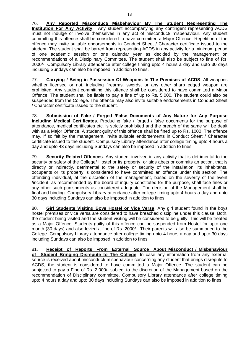76. **Any Reported Misconduct/ Misbehaviour By The Student Representing The Institution For Any Activity**. Any student accompanying any contingent representing ACDS must not indulge or involve themselves in any act of misconduct/ misbehaviour. Any student committing this offence shall be considered to have committed a Major Offence. Repetition of the offence may invite suitable endorsements in Conduct Sheet / Character certificate issued to the student. The student shall be barred from representing ACDS in any activity for a minimum period of one academic session or one calendar year as decided by the management on recommendations of a Disciplinary Committee. The student shall also be subject to fine of Rs. 2000/-. Compulsory Library attendance after college timing upto 4 hours a day and upto 30 days including Sundays can also be imposed in addition to fines.

77. **Carrying / Being in Possession Of Weapons In The Premises of ACDS**. All weapons whether licensed or not, including firearms, swords, or any other sharp edged weapon are prohibited. Any student committing this offence shall be considered to have committed a Major Offence. The student shall be liable to pay a fine of up to Rs. 5,000. The student could also be suspended from the College. The offence may also invite suitable endorsements in Conduct Sheet / Character certificate issued to the student.

78. **Submission of Fake / Forged /False Documents of Any Nature for Any Purpose Including Medical Certificates**. Producing fake / forged / false documents for the purpose of attendance, medical certificates etc. is strictly prohibited and the breach of the same will be dealt with as a Major Offence. A student guilty of this offence shall be fined up to Rs. 1000. The offence may, if so felt by the management, invite suitable endorsements in Conduct Sheet / Character certificate issued to the student. Compulsory Library attendance after college timing upto 4 hours a day and upto 43 days including Sundays can also be imposed in addition to fines

79. **Security Related Offences**. Any student involved in any activity that is detrimental to the security or safety of the College/ Hostel or its property, or aids abets or commits an action, that is directly or indirectly, detrimental to the safety or security of the installation, its inhabitants, occupants or its property is considered to have committed an offence under this section. The offending individual, at the discretion of the management, based on the severity of the event /incident, as recommended by the board of inquiry constituted for the purpose, shall face fines or any other such punishments as considered adequate. The decision of the Management shall be final and binding. Compulsory Library attendance after college timing upto 4 hours a day and upto 30 days including Sundays can also be imposed in addition to fines

80. **Girl Students Visiting Boys Hostel or Vice Versa**. Any girl student found in the boys hostel premises or vice versa are considered to have breached discipline under this clause. Both, the student being visited and the student visiting will be considered to be guilty. This will be treated as a Major Offence. Students guilty of this offence can be suspended from Hostel for upto one month (30 days) and also levied a fine of Rs. 2000/-. Their parents will also be summoned to the College. Compulsory Library attendance after college timing upto 4 hours a day and upto 30 days including Sundays can also be imposed in addition to fines

81. **Receipt of Reports From External Source About Misconduct / Misbehaviour of Student Bringing Disrepute to The College**. In case any information from any external source is received about misconduct/ misbehaviour concerning any student that brings disrepute to ACDS, the student is considered to have committed a Major Offence. The student can be subjected to pay a Fine of Rs. 2,000/- subject to the discretion of the Management based on the recommendation of Disciplinary committee. Compulsory Library attendance after college timing upto 4 hours a day and upto 30 days including Sundays can also be imposed in addition to fines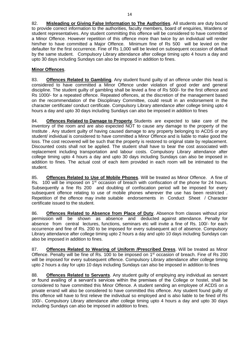82. **Misleading or Giving False Information to The Authorities**. All students are duty bound to provide correct information to the authorities, faculty members, board of enquiries, Wardens or student representatives. Any student committing this offence will be considered to have committed a Minor Offence. However repetition of this offence more than twice by an individual will render him/her to have committed a Major Offence. Minimum fine of Rs 500 will be levied on the defaulter for the first occurrence. Fine of Rs 1,000 will be levied on subsequent occasion of default by the same student. Compulsory Library attendance after college timing upto 4 hours a day and upto 30 days including Sundays can also be imposed in addition to fines.

# **Minor Offences**.

83. **Offences Related to Gambling**. Any student found guilty of an offence under this head is considered to have committed a Minor Offence under violation of good order and general discipline. The student guilty of gambling shall be levied a fine of Rs 500/- for the first offence and Rs 1000/- for a repeated offence. Repeated offences, at the discretion of the management based on the recommendation of the Disciplinary Committee, could result in an endorsement in the character certificate/ conduct certificate. Compulsory Library attendance after college timing upto 4 hours a day and upto 30 days including Sundays can also be imposed in addition to fines

84. **Offences Related to Damage to Property**. Students are expected to take care of the inventory of the room and are also expected NOT to cause any damage to the property of the Institute . Any student guilty of having caused damage to any property belonging to ACDS or any student/ individual is considered to have committed a Minor Offence and is liable to make good the loss. The cost recovered will be such that the property is restored to original state by replacement. Discounted costs shall not be applied. The student shall have to bear the cost associated with replacement including transportation and labour costs. Compulsory Library attendance after college timing upto 4 hours a day and upto 30 days including Sundays can also be imposed in addition to fines. The actual cost of each item provided in each room will be intimated to the student.

85. **Offences Related to Use of Mobile Phones**. Will be treated as Minor Offence. A fine of Rs. 100 will be imposed on 1<sup>st</sup> occasion of breach with confiscation of the phone for 24 hours. Subsequently a fine Rs 200 and doubling of confiscation period will be imposed for every subsequent offence relating to use of mobile phones wherever the use has been restricted . Repetition of the offence may invite suitable endorsements in Conduct Sheet / Character certificate issued to the student.

86. **Offences Related to Absence from Place of Duty**. Absence from classes without prior permission will be shown as absence and deducted against attendance. Penalty for absence from central lectures, functions, seminars etc will invite a fine of Rs. 100/- for each occurrence and fine of Rs. 200 to be imposed for every subsequent act of absence. Compulsory Library attendance after college timing upto 2 hours a day and upto 10 days including Sundays can also be imposed in addition to fines.

87. **Offences Related to Wearing of Uniform /Prescribed Dress**. Will be treated as Minor Offence. Penalty will be fine of Rs. 100 to be imposed on 1<sup>st</sup> occasion of breach. Fine of Rs 200 will be imposed for every subsequent offence. Compulsory Library attendance after college timing upto 2 hours a day for upto 10 days including Sundays can also be imposed in addition to fines

88. **Offences Related to Servants**. Any student guilty of employing any individual as servant or found availing of a servant's services within the premises of the College or hostel, shall be considered to have committed this Minor Offence. A student sending an employee of ACDS on a private errand will also be considered to have committed this offence. Any student found guilty of this offence will have to first relieve the individual so employed and is also liable to be fined of Rs 100/-. Compulsory Library attendance after college timing upto 4 hours a day and upto 30 days including Sundays can also be imposed in addition to fines.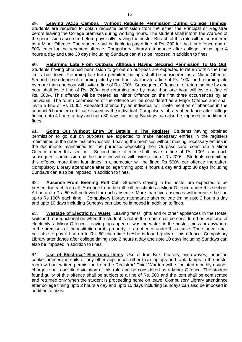89. **Leaving ACDS Campus Without Requisite Permission During College Timings**. Students are required to obtain requisite permission from the either the Principal or Registrar before leaving the College premises during working hours. The student shall inform the Warden of the permission accorded before physically leaving the hostel. Breach of this rule will be considered as a Minor Offence. The student shall be liable to pay a fine of Rs. 200 for the first offence and of 500/ each for the repeated offence. Compulsory Library attendance after college timing upto 4 hours a day and upto 30 days including Sundays can also be imposed in addition to fines

90. **Returning Late From Outpass Although Having Secured Permission To Go Out**. Students having obtained permission to go out on out-pass are expected to return within the time limits laid down. Returning late from permitted outings shall be considered as a Minor Offence. Second time offence of returning late by one hour shall invite a fine of Rs. 100/- and returning late by more than one hour will invite a fine of Rs. 200/-. Subsequent Offences of returning late by one hour shall invite fine of Rs. 200/- and returning late by more than one hour will invite a fine of Rs. 500/-. This offence will be treated as Minor Offence on the first three occurrences by an individual. The fourth commission of the offence will be considered as a Major Offence and shall invite a fine of Rs 1000/. Repeated offence by an individual will invite mention of offences in the conduct /character certificate issued by the individual. Compulsory Library attendance after college timing upto 4 hours a day and upto 30 days including Sundays can also be imposed in addition to fines

91. **Going Out Without Entry Of Details In The Register**. Students having obtained permission to go out on out-pass are expected to make necessary entries in the registers maintained at the gate/ institute /hostels. Leaving the premises without making necessary entries in the documents maintained for the purpose/ depositing their Outpass card, constitute a Minor Offence under this section. Second time offence shall invite a fine of Rs. 100/- and each subsequent commission by the same individual will invite a fine of Rs 200/-. Students committing this offence more than four times in a semester will be fined Rs 500/- per offence thereafter, Compulsory Library attendance after college timing upto 4 hours a day and upto 30 days including Sundays can also be imposed in addition to fines.

92. **Absence From Evening Roll Call**. Students staying in the hostel are expected to be present for each roll call. Absence from the roll call constitutes a Minor Offence under this section. A fine up to Rs. 50 will be levied for each absence. More than five absences will increase the fine up to Rs 100/- each time. Compulsory Library attendance after college timing upto 2 hours a day and upto 10 days including Sundays can also be imposed in addition to fines.

93. **Wastage of Electricity / Water**. Leaving fans/ lights and or other appliances in the Hostel switched- on/ functional on when the student is not in the room shall be considered as wastage of electricity, a Minor Offence. Leaving taps open or wasting water, in the hostel, mess or anywhere in the premises of the institution or its property, is an offence under this clause. The student shall be liable to pay a fine up to Rs. 50 each time he/she is found guilty of this offence. Compulsory Library attendance after college timing upto 2 hours a day and upto 10 days including Sundays can also be imposed in addition to fines.

94. **Use of Electrical/ Electronic Items**. Use of Iron Box, heaters, microwaves, induction cooker, immersion coils or any other appliances other than laptops and table lamps in the hostel room without written permission from the Registrar/ Chief Warden with stipulated monthly usages charges shall constitute violation of this rule and be considered as a Minor Offence. The student found guilty of this offence shall be subject to a fine of Rs. 500 and the item shall be confiscated and returned only when the student is proceeding home on leave. Compulsory Library attendance after college timing upto 2 hours a day and upto 10 days including Sundays can also be imposed in addition to fines.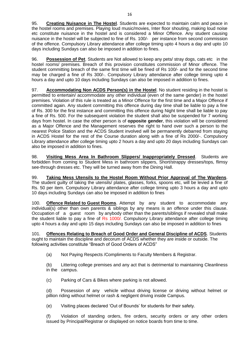95. **Creating Nuisance in The Hostel**. Students are expected to maintain calm and peace in the hostel rooms and premises. Playing loud music/movies, Inter floor shouting, making loud noise etc constitute nuisance in the hostel and is considered a Minor Offence. Any student causing nuisance in the hostel will be subjected to fine of Rs. 100/- per instance from second commission of the offence. Compulsory Library attendance after college timing upto 4 hours a day and upto 10 days including Sundays can also be imposed in addition to fines.

96. **Possession of Pet**. Students are Not allowed to keep any pets/ stray dogs, cats etc in the hostel rooms/ premises. Breach of this provision constitutes commission of Minor offence. The student committing breach of the same first time will be fined of Rs 100/- and for the second time may be charged a fine of Rs 300/-. Compulsory Library attendance after college timing upto 4 hours a day and upto 10 days including Sundays can also be imposed in addition to fines.

97. **Accommodating Non ACDS Person(s) in the Hostel**. No student residing in the hostel is permitted to entertain/ accommodate any other individual (even of the same gender) in the hostel premises. Violation of this rule is treated as a Minor Offence for the first time and a Major Offence if committed again. Any student committing this offence during day time shall be liable to pay a fine of Rs. 300 for the first instance and committing this offence during Night time shall be liable to pay a fine of Rs. 500. For the subsequent violation the student shall also be suspended for 7 working days from hostel. In case the other person is of **opposite gender**, this violation will be considered as a Major Offence and the Management reserves the right to hand over such a person to the nearest Police Station and the ACDS Student involved will be permanently debarred from staying in ACDS Hostel for the rest of the Course duration along with a fine of Rs 2000/-. Compulsory Library attendance after college timing upto 2 hours a day and upto 20 days including Sundays can also be imposed in addition to fines.

98. **Visiting Mess Area In Bathroom Slippers/ Inappropriately Dressed**. Students are forbidden from coming to Student Mess in bathroom slippers, Short/strappy dresses/tops, flimsy see-through dresses etc. They will be turned away from the Dining Hall.

99. **Taking Mess Utensils to the Hostel Room Without Prior Approval of The Wardens**. The student guilty of taking the utensils/ plates, glasses, forks, spoons etc, will be levied a fine of Rs. 50 per item. Compulsory Library attendance after college timing upto 3 hours a day and upto 10 days including Sundays can also be imposed in addition to fines

100. **Offence Related to Guest Rooms**. Attempt by any student to accommodate any individual(s) other than own parents & siblings by any means is an offence under this clause. Occupation of a guest room by anybody other than the parents/siblings if revealed shall make the student liable to pay a fine of Rs 1000/. Compulsory Library attendance after college timing upto 4 hours a day and upto 15 days including Sundays can also be imposed in addition to fines

101. **Offences Relating to Breach of Good Order and General Discipline of ACDS**. Students ought to maintain the discipline and decorum of ACDS whether they are inside or outside. The following activities constitute "Breach of Good Orders of ACDS"

(a) Not Paying Respects /Compliments to Faculty Members & Registrar.

(b) Littering college premises and any act that is detrimental to maintaining Cleanliness in the campus.

(c) Parking of Cars & Bikes where parking is not allowed.

(d) Possession of any vehicle without driving license or driving without helmet or pillion riding without helmet or rash & negligent driving inside Campus.

(e) Visiting places declared 'Out of Bounds' for students for their safety.

(f) Violation of standing orders, fire orders, security orders or any other orders issued by Principal/Registrar or displayed on notice boards from time to time.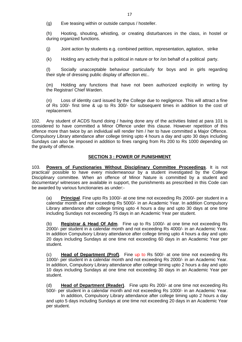(g) Eve teasing within or outside campus / hosteller.

(h) Hooting, shouting, whistling, or creating disturbances in the class, in hostel or during organized functions.

- (j) Joint action by students e.g. combined petition, representation, agitation, strike
- (k) Holding any activity that is political in nature or for /on behalf of a political party.

(l) Socially unacceptable behaviour particularly for boys and in girls regarding their style of dressing public display of affection etc..

(m) Holding any functions that have not been authorized explicitly in writing by the Registrar/ Chief Warden.

(n) Loss of identity card issued by the College due to negligence. This will attract a fine of Rs 100/- first time & up to Rs 300/- for subsequent times in addition to the cost of replacement.

102. Any student of ACDS found doing / having done any of the activities listed at para 101 is considered to have committed a Minor Offence under this clause. However repetition of this offence more than twice by an individual will render him / her to have committed a Major Offence. Compulsory Library attendance after college timing upto 4 hours a day and upto 30 days including Sundays can also be imposed in addition to fines ranging from Rs 200 to Rs 1000 depending on the gravity of offence.

# **SECTION 3 : POWER OF PUNISHMENT**

103. **Powers of Functionaries Without Disciplinary Committee Proceedings**. It is not practical/ possible to have every misdemeanour by a student investigated by the College Disciplinary committee. When an offence of Minor Nature is committed by a student and documentary/ witnesses are available in support, the punishments as prescribed in this Code can be awarded by various functionaries as under:-

(a) **Principal**. Fine upto Rs 1000/- at one time not exceeding Rs 2000/- per student in a calendar month and not exceeding Rs 5000/- in an Academic Year. In addition Compulsory Library attendance after college timing upto 4 hours a day and upto 30 days at one time including Sundays not exceeding 75 days in an Academic Year per student.

(b) **Registrar & Head Of Adm**. Fine up to Rs 1000/- at one time not exceeding Rs 2000/- per student in a calendar month and not exceeding Rs 4000/- in an Academic Year. In addition Compulsory Library attendance after college timing upto 4 hours a day and upto 20 days including Sundays at one time not exceeding 60 days in an Academic Year per student.

(c) **Head of Department (Prof)**. Fine up to Rs 500/- at one time not exceeding Rs 1000/- per student in a calendar month and not exceeding Rs 2000/- in an Academic Year. In addition, Compulsory Library attendance after college timing upto 2 hours a day and upto 10 days including Sundays at one time not exceeding 30 days in an Academic Year per student.

(d) **Head of Department (Reader)**. Fine upto Rs 200/- at one time not exceeding Rs 500/- per student in a calendar month and not exceeding Rs 1000/- in an Academic Year.

In addition, Compulsory Library attendance after college timing upto 2 hours a day and upto 5 days including Sundays at one time not exceeding 20 days in an Academic Year per student.